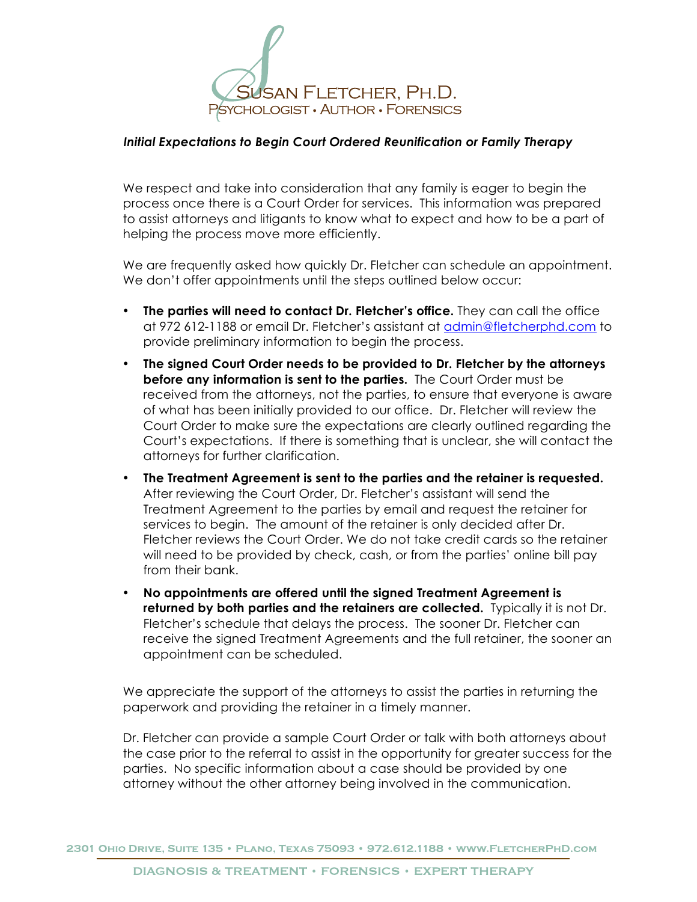

## *Initial Expectations to Begin Court Ordered Reunification or Family Therapy*

We respect and take into consideration that any family is eager to begin the process once there is a Court Order for services. This information was prepared to assist attorneys and litigants to know what to expect and how to be a part of helping the process move more efficiently.

We are frequently asked how quickly Dr. Fletcher can schedule an appointment. We don't offer appointments until the steps outlined below occur:

- **The parties will need to contact Dr. Fletcher's office.** They can call the office at 972 612-1188 or email Dr. Fletcher's assistant at admin@fletcherphd.com to provide preliminary information to begin the process.
- **The signed Court Order needs to be provided to Dr. Fletcher by the attorneys before any information is sent to the parties.** The Court Order must be received from the attorneys, not the parties, to ensure that everyone is aware of what has been initially provided to our office. Dr. Fletcher will review the Court Order to make sure the expectations are clearly outlined regarding the Court's expectations. If there is something that is unclear, she will contact the attorneys for further clarification.
- **The Treatment Agreement is sent to the parties and the retainer is requested.** After reviewing the Court Order, Dr. Fletcher's assistant will send the Treatment Agreement to the parties by email and request the retainer for services to begin. The amount of the retainer is only decided after Dr. Fletcher reviews the Court Order. We do not take credit cards so the retainer will need to be provided by check, cash, or from the parties' online bill pay from their bank.
- **No appointments are offered until the signed Treatment Agreement is returned by both parties and the retainers are collected.** Typically it is not Dr. Fletcher's schedule that delays the process. The sooner Dr. Fletcher can receive the signed Treatment Agreements and the full retainer, the sooner an appointment can be scheduled.

We appreciate the support of the attorneys to assist the parties in returning the paperwork and providing the retainer in a timely manner.

Dr. Fletcher can provide a sample Court Order or talk with both attorneys about the case prior to the referral to assist in the opportunity for greater success for the parties. No specific information about a case should be provided by one attorney without the other attorney being involved in the communication.

2301 OHIO DRIVE, SUITE 135 · PLANO, TEXAS 75093 · 972.612.1188 · WWW.FLETCHERPHD.COM